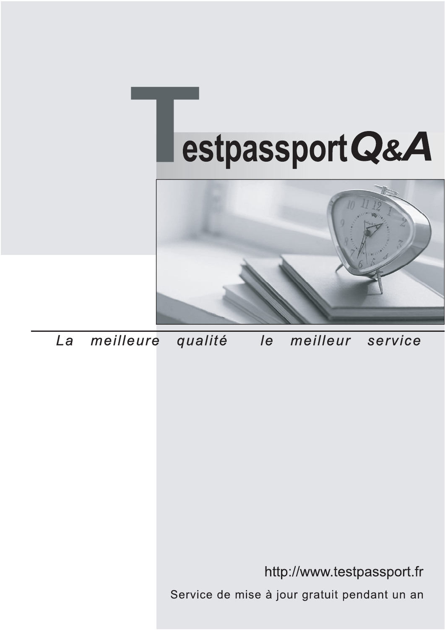



meilleure La qualité  $\overline{e}$ meilleur service

http://www.testpassport.fr

Service de mise à jour gratuit pendant un an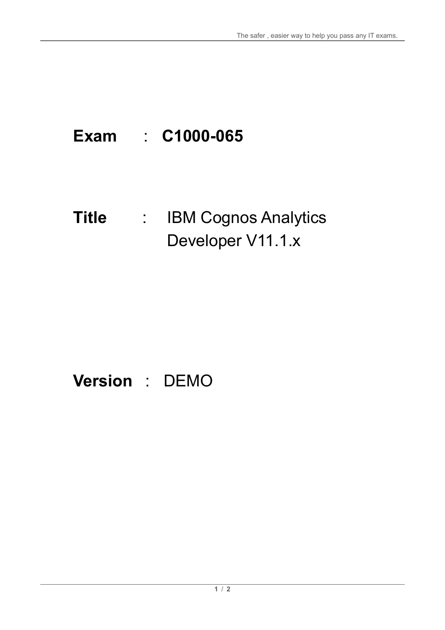# **Exam** : **C1000-065**

### **Title** : IBM Cognos Analytics Developer V11.1.x

## **Version** : DEMO